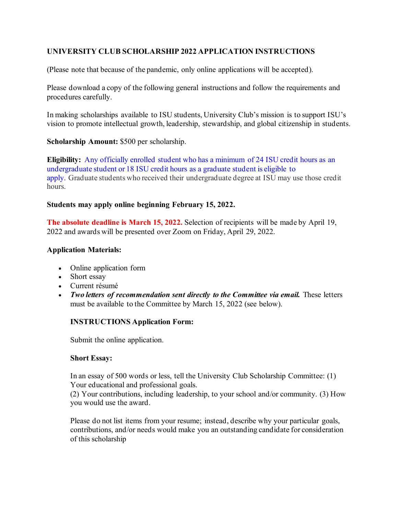# **UNIVERSITY CLUB SCHOLARSHIP 2022 APPLICATION INSTRUCTIONS**

(Please note that because of the pandemic, only online applications will be accepted).

Please download a copy of the following general instructions and follow the requirements and procedures carefully.

In making scholarships available to ISU students, University Club's mission is to support ISU's vision to promote intellectual growth, leadership, stewardship, and global citizenship in students.

**Scholarship Amount:** \$500 per scholarship.

**Eligibility:** Any officially enrolled student who has a minimum of 24 ISU credit hours as an undergraduate student or 18 ISU credit hours as a graduate student is eligible to apply. Graduate students who received their undergraduate degree at ISU may use those credit hours.

### **Students may apply online beginning February 15, 2022.**

**The absolute deadline is March 15, 2022.** Selection of recipients will be made by April 19, 2022 and awards will be presented over Zoom on Friday, April 29, 2022.

# **Application Materials:**

- Online application form
- Short essay
- Current résumé
- *Two letters of recommendation sent directly to the Committee via email.* These letters must be available to the Committee by March 15, 2022 (see below).

# **INSTRUCTIONS Application Form:**

Submit the online application.

#### **Short Essay:**

In an essay of 500 words or less, tell the University Club Scholarship Committee: (1) Your educational and professional goals.

(2) Your contributions, including leadership, to your school and/or community. (3) How you would use the award.

Please do not list items from your resume; instead, describe why your particular goals, contributions, and/or needs would make you an outstanding candidate for consideration of this scholarship